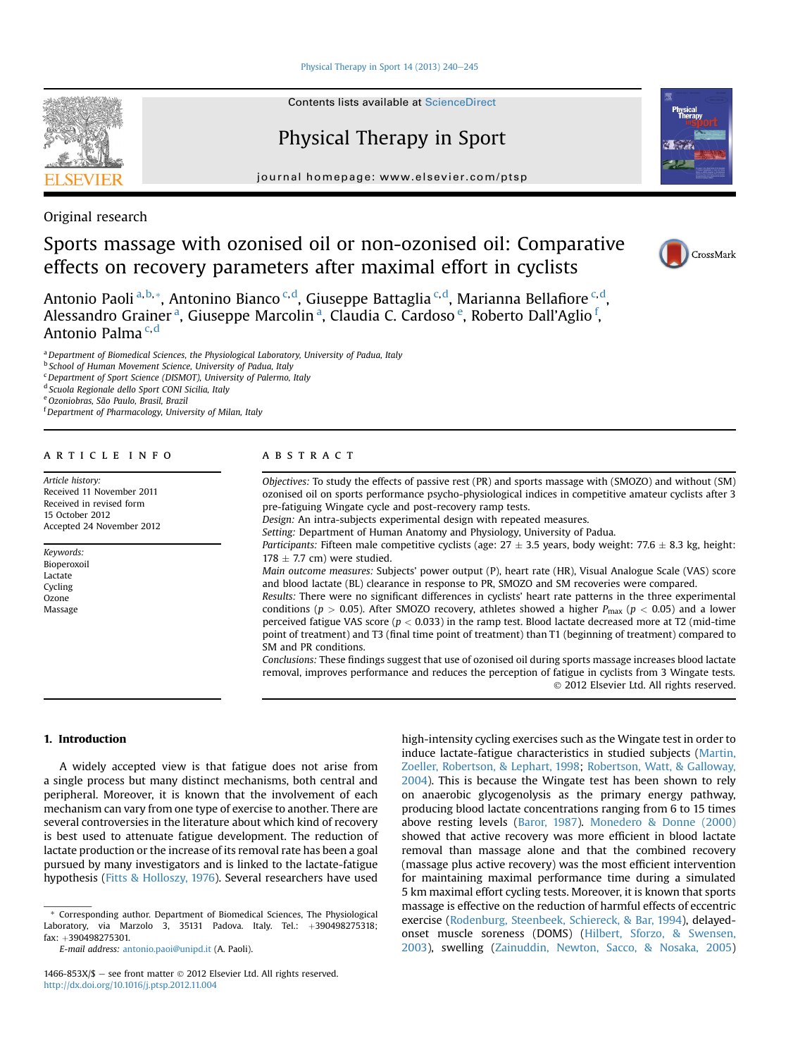[Physical Therapy in Sport 14 \(2013\) 240](http://dx.doi.org/10.1016/j.ptsp.2012.11.004)-[245](http://dx.doi.org/10.1016/j.ptsp.2012.11.004)



Contents lists available at ScienceDirect

# Physical Therapy in Sport

journal homepage: [www.elsevier.com/ptsp](http://www.elsevier.com/ptsp)

Original research

Sports massage with ozonised oil or non-ozonised oil: Comparative effects on recovery parameters after maximal effort in cyclists



CrossMark

Antonio Paoli<sup>a,b,</sup>\*, Antonino Bianco <sup>c,d</sup>, Giuseppe Battaglia <sup>c,d</sup>, Marianna Bellafiore <sup>c,d</sup>, Alessandro Grainer<sup>a</sup>, Giuseppe Marcolin<sup>a</sup>, Claudia C. Cardoso<sup>e</sup>, Roberto Dall'Aglio<sup>f</sup>, Antonio Palma<sup>c, d</sup>

<sup>a</sup> Department of Biomedical Sciences, the Physiological Laboratory, University of Padua, Italy

<sup>b</sup> School of Human Movement Science, University of Padua, Italy

<sup>c</sup> Department of Sport Science (DISMOT), University of Palermo, Italy

<sup>d</sup> Scuola Regionale dello Sport CONI Sicilia, Italy

e Ozoniobras, São Paulo, Brasil, Brazil

f Department of Pharmacology, University of Milan, Italy

# article info

Article history: Received 11 November 2011 Received in revised form 15 October 2012 Accepted 24 November 2012

Keywords: Bioperoxoil Lactate Cycling Ozone Massage

# **ABSTRACT**

Objectives: To study the effects of passive rest (PR) and sports massage with (SMOZO) and without (SM) ozonised oil on sports performance psycho-physiological indices in competitive amateur cyclists after 3 pre-fatiguing Wingate cycle and post-recovery ramp tests. Design: An intra-subjects experimental design with repeated measures. Setting: Department of Human Anatomy and Physiology, University of Padua. Participants: Fifteen male competitive cyclists (age:  $27 \pm 3.5$  years, body weight: 77.6  $\pm$  8.3 kg, height:  $178 \pm 7.7$  cm) were studied. Main outcome measures: Subjects' power output (P), heart rate (HR), Visual Analogue Scale (VAS) score and blood lactate (BL) clearance in response to PR, SMOZO and SM recoveries were compared. Results: There were no significant differences in cyclists' heart rate patterns in the three experimental conditions ( $p > 0.05$ ). After SMOZO recovery, athletes showed a higher  $P_{\text{max}}$  ( $p < 0.05$ ) and a lower perceived fatigue VAS score ( $p < 0.033$ ) in the ramp test. Blood lactate decreased more at T2 (mid-time point of treatment) and T3 (final time point of treatment) than T1 (beginning of treatment) compared to SM and PR conditions. Conclusions: These findings suggest that use of ozonised oil during sports massage increases blood lactate

removal, improves performance and reduces the perception of fatigue in cyclists from 3 Wingate tests. 2012 Elsevier Ltd. All rights reserved.

#### 1. Introduction

A widely accepted view is that fatigue does not arise from a single process but many distinct mechanisms, both central and peripheral. Moreover, it is known that the involvement of each mechanism can vary from one type of exercise to another. There are several controversies in the literature about which kind of recovery is best used to attenuate fatigue development. The reduction of lactate production or the increase of its removal rate has been a goal pursued by many investigators and is linked to the lactate-fatigue hypothesis [\(Fitts & Holloszy, 1976](#page-4-0)). Several researchers have used high-intensity cycling exercises such as the Wingate test in order to induce lactate-fatigue characteristics in studied subjects [\(Martin,](#page-4-0) [Zoeller, Robertson, & Lephart, 1998;](#page-4-0) [Robertson, Watt, & Galloway,](#page-5-0) [2004](#page-5-0)). This is because the Wingate test has been shown to rely on anaerobic glycogenolysis as the primary energy pathway, producing blood lactate concentrations ranging from 6 to 15 times above resting levels [\(Baror, 1987\)](#page-4-0). [Monedero & Donne \(2000\)](#page-4-0) showed that active recovery was more efficient in blood lactate removal than massage alone and that the combined recovery (massage plus active recovery) was the most efficient intervention for maintaining maximal performance time during a simulated 5 km maximal effort cycling tests. Moreover, it is known that sports massage is effective on the reduction of harmful effects of eccentric exercise [\(Rodenburg, Steenbeek, Schiereck, & Bar, 1994](#page-5-0)), delayedonset muscle soreness (DOMS) [\(Hilbert, Sforzo, & Swensen,](#page-4-0) [2003](#page-4-0)), swelling [\(Zainuddin, Newton, Sacco, & Nosaka, 2005\)](#page-5-0)

<sup>\*</sup> Corresponding author. Department of Biomedical Sciences, The Physiological Laboratory, via Marzolo 3, 35131 Padova. Italy. Tel.: +390498275318; fax: +390498275301.

E-mail address: [antonio.paoi@unipd.it](mailto:antonio.paoi@unipd.it) (A. Paoli).

<sup>1466-853</sup>X/\$  $-$  see front matter  $\odot$  2012 Elsevier Ltd. All rights reserved. <http://dx.doi.org/10.1016/j.ptsp.2012.11.004>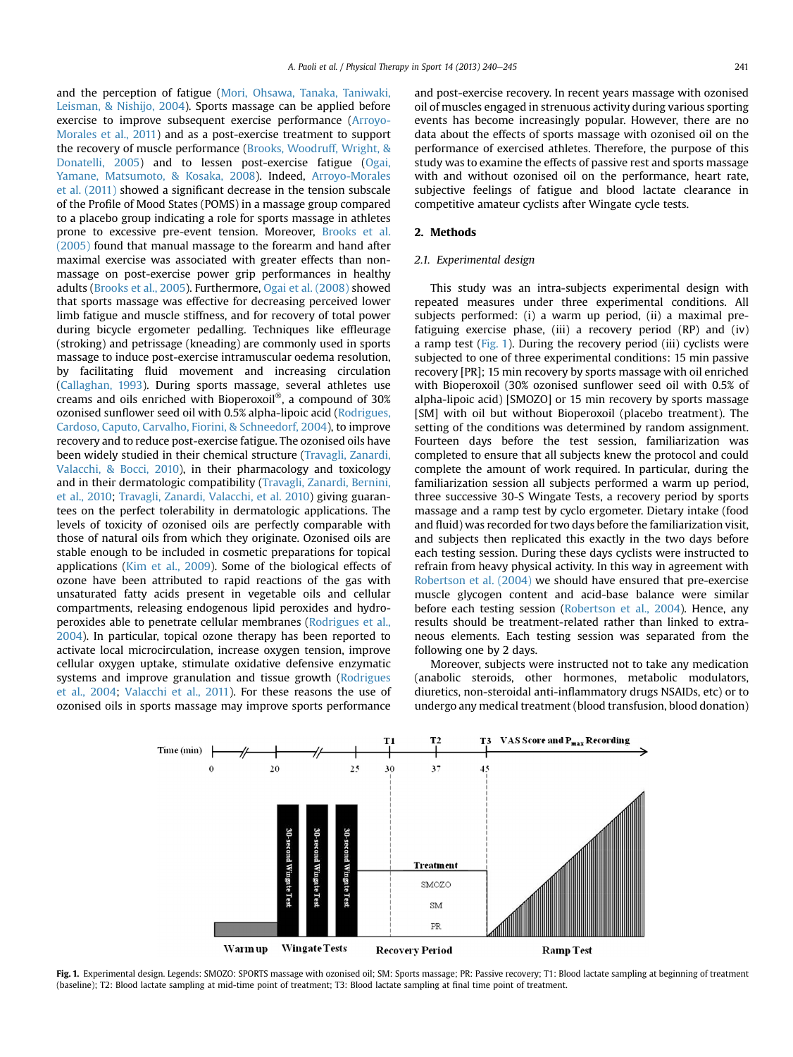<span id="page-1-0"></span>and the perception of fatigue ([Mori, Ohsawa, Tanaka, Taniwaki,](#page-4-0) [Leisman, & Nishijo, 2004\)](#page-4-0). Sports massage can be applied before exercise to improve subsequent exercise performance ([Arroyo-](#page-4-0)[Morales et al., 2011\)](#page-4-0) and as a post-exercise treatment to support the recovery of muscle performance ([Brooks, Woodruff, Wright, &](#page-4-0) [Donatelli, 2005\)](#page-4-0) and to lessen post-exercise fatigue ([Ogai,](#page-4-0) [Yamane, Matsumoto, & Kosaka, 2008\)](#page-4-0). Indeed, [Arroyo-Morales](#page-4-0) [et al. \(2011\)](#page-4-0) showed a significant decrease in the tension subscale of the Profile of Mood States (POMS) in a massage group compared to a placebo group indicating a role for sports massage in athletes prone to excessive pre-event tension. Moreover, [Brooks et al.](#page-4-0) [\(2005\)](#page-4-0) found that manual massage to the forearm and hand after maximal exercise was associated with greater effects than nonmassage on post-exercise power grip performances in healthy adults ([Brooks et al., 2005](#page-4-0)). Furthermore, [Ogai et al. \(2008\)](#page-4-0) showed that sports massage was effective for decreasing perceived lower limb fatigue and muscle stiffness, and for recovery of total power during bicycle ergometer pedalling. Techniques like effleurage (stroking) and petrissage (kneading) are commonly used in sports massage to induce post-exercise intramuscular oedema resolution, by facilitating fluid movement and increasing circulation ([Callaghan, 1993](#page-4-0)). During sports massage, several athletes use creams and oils enriched with Bioperoxoil®, a compound of  $30\%$ ozonised sunflower seed oil with 0.5% alpha-lipoic acid [\(Rodrigues,](#page-5-0) [Cardoso, Caputo, Carvalho, Fiorini, & Schneedorf, 2004\)](#page-5-0), to improve recovery and to reduce post-exercise fatigue. The ozonised oils have been widely studied in their chemical structure ([Travagli, Zanardi,](#page-5-0) [Valacchi, & Bocci, 2010](#page-5-0)), in their pharmacology and toxicology and in their dermatologic compatibility [\(Travagli, Zanardi, Bernini,](#page-5-0) [et al., 2010;](#page-5-0) [Travagli, Zanardi, Valacchi, et al. 2010](#page-5-0)) giving guarantees on the perfect tolerability in dermatologic applications. The levels of toxicity of ozonised oils are perfectly comparable with those of natural oils from which they originate. Ozonised oils are stable enough to be included in cosmetic preparations for topical applications ([Kim et al., 2009](#page-4-0)). Some of the biological effects of ozone have been attributed to rapid reactions of the gas with unsaturated fatty acids present in vegetable oils and cellular compartments, releasing endogenous lipid peroxides and hydroperoxides able to penetrate cellular membranes [\(Rodrigues et al.,](#page-5-0) [2004\)](#page-5-0). In particular, topical ozone therapy has been reported to activate local microcirculation, increase oxygen tension, improve cellular oxygen uptake, stimulate oxidative defensive enzymatic systems and improve granulation and tissue growth ([Rodrigues](#page-5-0) [et al., 2004](#page-5-0); [Valacchi et al., 2011](#page-5-0)). For these reasons the use of ozonised oils in sports massage may improve sports performance

and post-exercise recovery. In recent years massage with ozonised oil of muscles engaged in strenuous activity during various sporting events has become increasingly popular. However, there are no data about the effects of sports massage with ozonised oil on the performance of exercised athletes. Therefore, the purpose of this study was to examine the effects of passive rest and sports massage with and without ozonised oil on the performance, heart rate, subjective feelings of fatigue and blood lactate clearance in competitive amateur cyclists after Wingate cycle tests.

## 2. Methods

# 2.1. Experimental design

This study was an intra-subjects experimental design with repeated measures under three experimental conditions. All subjects performed: (i) a warm up period, (ii) a maximal prefatiguing exercise phase, (iii) a recovery period (RP) and (iv) a ramp test  $(Fig. 1)$ . During the recovery period (iii) cyclists were subjected to one of three experimental conditions: 15 min passive recovery [PR]; 15 min recovery by sports massage with oil enriched with Bioperoxoil (30% ozonised sunflower seed oil with 0.5% of alpha-lipoic acid) [SMOZO] or 15 min recovery by sports massage [SM] with oil but without Bioperoxoil (placebo treatment). The setting of the conditions was determined by random assignment. Fourteen days before the test session, familiarization was completed to ensure that all subjects knew the protocol and could complete the amount of work required. In particular, during the familiarization session all subjects performed a warm up period, three successive 30-S Wingate Tests, a recovery period by sports massage and a ramp test by cyclo ergometer. Dietary intake (food and fluid) was recorded for two days before the familiarization visit, and subjects then replicated this exactly in the two days before each testing session. During these days cyclists were instructed to refrain from heavy physical activity. In this way in agreement with [Robertson et al. \(2004\)](#page-5-0) we should have ensured that pre-exercise muscle glycogen content and acid-base balance were similar before each testing session [\(Robertson et al., 2004](#page-5-0)). Hence, any results should be treatment-related rather than linked to extraneous elements. Each testing session was separated from the following one by 2 days.

Moreover, subjects were instructed not to take any medication (anabolic steroids, other hormones, metabolic modulators, diuretics, non-steroidal anti-inflammatory drugs NSAIDs, etc) or to undergo any medical treatment (blood transfusion, blood donation)



Fig. 1. Experimental design. Legends: SMOZO: SPORTS massage with ozonised oil; SM: Sports massage; PR: Passive recovery; T1: Blood lactate sampling at beginning of treatment (baseline); T2: Blood lactate sampling at mid-time point of treatment; T3: Blood lactate sampling at final time point of treatment.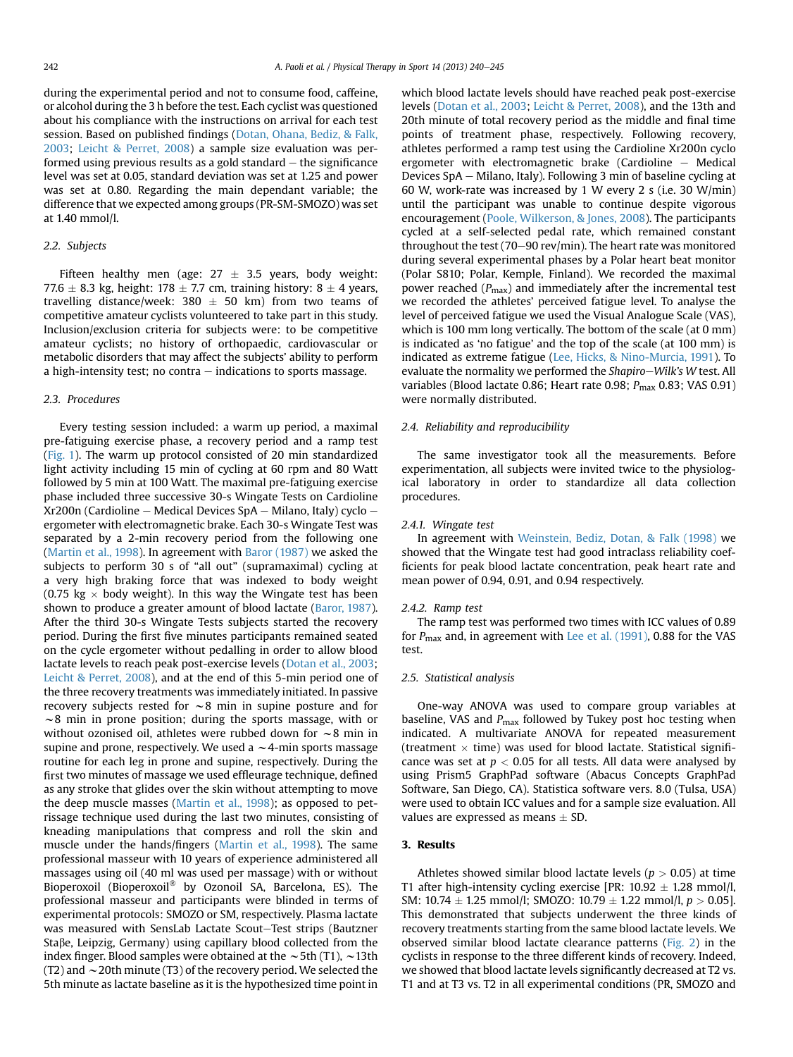during the experimental period and not to consume food, caffeine, or alcohol during the 3 h before the test. Each cyclist was questioned about his compliance with the instructions on arrival for each test session. Based on published findings [\(Dotan, Ohana, Bediz, & Falk,](#page-4-0) [2003](#page-4-0); [Leicht & Perret, 2008\)](#page-4-0) a sample size evaluation was performed using previous results as a gold standard  $-$  the significance level was set at 0.05, standard deviation was set at 1.25 and power was set at 0.80. Regarding the main dependant variable; the difference that we expected among groups (PR-SM-SMOZO) was set at 1.40 mmol/l.

## 2.2. Subjects

Fifteen healthy men (age:  $27 \pm 3.5$  years, body weight: 77.6  $\pm$  8.3 kg, height: 178  $\pm$  7.7 cm, training history: 8  $\pm$  4 years, travelling distance/week:  $380 \pm 50$  km) from two teams of competitive amateur cyclists volunteered to take part in this study. Inclusion/exclusion criteria for subjects were: to be competitive amateur cyclists; no history of orthopaedic, cardiovascular or metabolic disorders that may affect the subjects' ability to perform a high-intensity test; no contra  $-$  indications to sports massage.

## 2.3. Procedures

Every testing session included: a warm up period, a maximal pre-fatiguing exercise phase, a recovery period and a ramp test ([Fig. 1](#page-1-0)). The warm up protocol consisted of 20 min standardized light activity including 15 min of cycling at 60 rpm and 80 Watt followed by 5 min at 100 Watt. The maximal pre-fatiguing exercise phase included three successive 30-s Wingate Tests on Cardioline  $Xr200n$  (Cardioline – Medical Devices SpA – Milano, Italy) cyclo – ergometer with electromagnetic brake. Each 30-s Wingate Test was separated by a 2-min recovery period from the following one ([Martin et al., 1998](#page-4-0)). In agreement with [Baror \(1987\)](#page-4-0) we asked the subjects to perform 30 s of "all out" (supramaximal) cycling at a very high braking force that was indexed to body weight (0.75 kg  $\times$  body weight). In this way the Wingate test has been shown to produce a greater amount of blood lactate ([Baror, 1987](#page-4-0)). After the third 30-s Wingate Tests subjects started the recovery period. During the first five minutes participants remained seated on the cycle ergometer without pedalling in order to allow blood lactate levels to reach peak post-exercise levels ([Dotan et al., 2003](#page-4-0); [Leicht & Perret, 2008](#page-4-0)), and at the end of this 5-min period one of the three recovery treatments was immediately initiated. In passive recovery subjects rested for  $\sim$ 8 min in supine posture and for  $\sim$ 8 min in prone position; during the sports massage, with or without ozonised oil, athletes were rubbed down for  $\sim$ 8 min in supine and prone, respectively. We used a  $\sim$  4-min sports massage routine for each leg in prone and supine, respectively. During the first two minutes of massage we used effleurage technique, defined as any stroke that glides over the skin without attempting to move the deep muscle masses [\(Martin et al., 1998\)](#page-4-0); as opposed to petrissage technique used during the last two minutes, consisting of kneading manipulations that compress and roll the skin and muscle under the hands/fingers [\(Martin et al., 1998](#page-4-0)). The same professional masseur with 10 years of experience administered all massages using oil (40 ml was used per massage) with or without Bioperoxoil (Bioperoxoil® by Ozonoil SA, Barcelona, ES). The professional masseur and participants were blinded in terms of experimental protocols: SMOZO or SM, respectively. Plasma lactate was measured with SensLab Lactate Scout-Test strips (Bautzner Staße, Leipzig, Germany) using capillary blood collected from the index finger. Blood samples were obtained at the  $\sim$  5th (T1),  $\sim$  13th  $(T2)$  and  $\sim$  20th minute (T3) of the recovery period. We selected the 5th minute as lactate baseline as it is the hypothesized time point in which blood lactate levels should have reached peak post-exercise levels ([Dotan et al., 2003;](#page-4-0) [Leicht & Perret, 2008\)](#page-4-0), and the 13th and 20th minute of total recovery period as the middle and final time points of treatment phase, respectively. Following recovery, athletes performed a ramp test using the Cardioline Xr200n cyclo ergometer with electromagnetic brake (Cardioline  $-$  Medical Devices SpA – Milano, Italy). Following 3 min of baseline cycling at 60 W, work-rate was increased by 1 W every 2 s (i.e. 30 W/min) until the participant was unable to continue despite vigorous encouragement ([Poole, Wilkerson, & Jones, 2008\)](#page-5-0). The participants cycled at a self-selected pedal rate, which remained constant throughout the test (70–90 rev/min). The heart rate was monitored during several experimental phases by a Polar heart beat monitor (Polar S810; Polar, Kemple, Finland). We recorded the maximal power reached  $(P_{\text{max}})$  and immediately after the incremental test we recorded the athletes' perceived fatigue level. To analyse the level of perceived fatigue we used the Visual Analogue Scale (VAS), which is 100 mm long vertically. The bottom of the scale (at 0 mm) is indicated as 'no fatigue' and the top of the scale (at 100 mm) is indicated as extreme fatigue ([Lee, Hicks, & Nino-Murcia, 1991](#page-4-0)). To evaluate the normality we performed the Shapiro-Wilk's W test. All variables (Blood lactate 0.86; Heart rate 0.98;  $P_{\text{max}}$  0.83; VAS 0.91) were normally distributed.

## 2.4. Reliability and reproducibility

The same investigator took all the measurements. Before experimentation, all subjects were invited twice to the physiological laboratory in order to standardize all data collection procedures.

#### 2.4.1. Wingate test

In agreement with [Weinstein, Bediz, Dotan, & Falk \(1998\)](#page-5-0) we showed that the Wingate test had good intraclass reliability coefficients for peak blood lactate concentration, peak heart rate and mean power of 0.94, 0.91, and 0.94 respectively.

#### 2.4.2. Ramp test

The ramp test was performed two times with ICC values of 0.89 for Pmax and, in agreement with [Lee et al. \(1991\)](#page-4-0), 0.88 for the VAS test.

#### 2.5. Statistical analysis

One-way ANOVA was used to compare group variables at baseline, VAS and  $P_{\text{max}}$  followed by Tukey post hoc testing when indicated. A multivariate ANOVA for repeated measurement (treatment  $\times$  time) was used for blood lactate. Statistical significance was set at  $p < 0.05$  for all tests. All data were analysed by using Prism5 GraphPad software (Abacus Concepts GraphPad Software, San Diego, CA). Statistica software vers. 8.0 (Tulsa, USA) were used to obtain ICC values and for a sample size evaluation. All values are expressed as means  $\pm$  SD.

# 3. Results

Athletes showed similar blood lactate levels ( $p > 0.05$ ) at time T1 after high-intensity cycling exercise [PR:  $10.92 \pm 1.28$  mmol/l, SM: 10.74  $\pm$  1.25 mmol/l; SMOZO: 10.79  $\pm$  1.22 mmol/l,  $p > 0.05$ ]. This demonstrated that subjects underwent the three kinds of recovery treatments starting from the same blood lactate levels. We observed similar blood lactate clearance patterns [\(Fig. 2\)](#page-3-0) in the cyclists in response to the three different kinds of recovery. Indeed, we showed that blood lactate levels significantly decreased at T2 vs. T1 and at T3 vs. T2 in all experimental conditions (PR, SMOZO and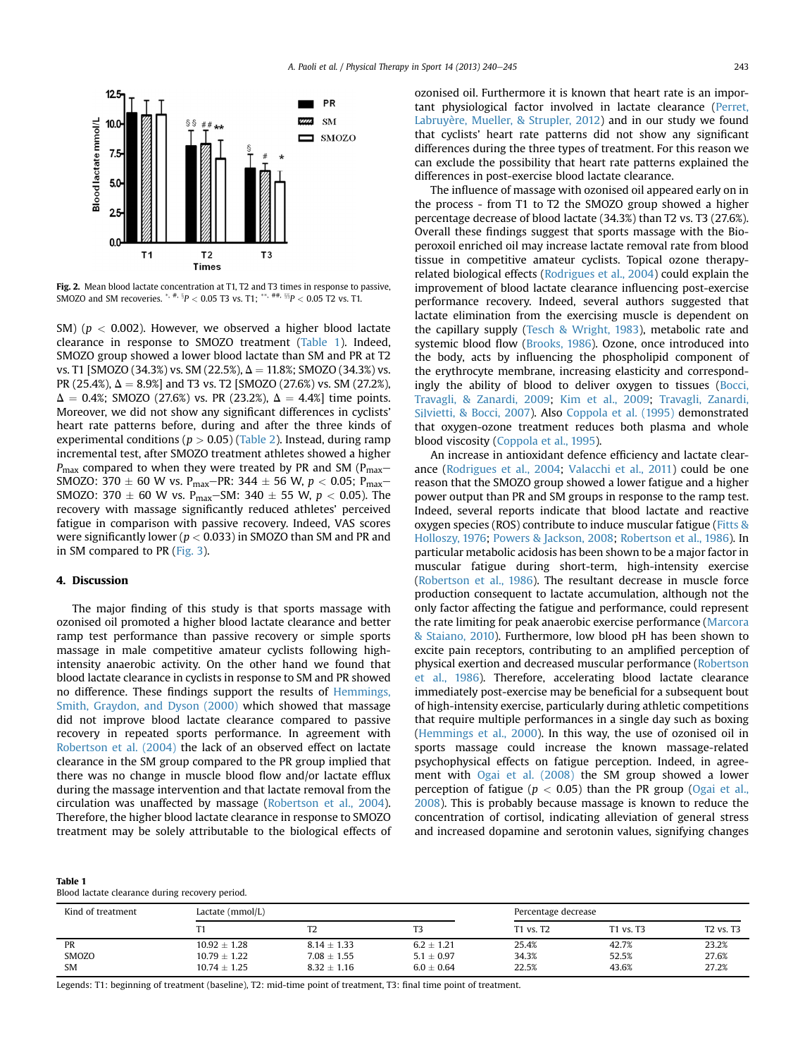<span id="page-3-0"></span>

Fig. 2. Mean blood lactate concentration at T1, T2 and T3 times in response to passive, SMOZO and SM recoveries. \*, #,  $$P < 0.05$  T3 vs. T1; \*\*, ##,  $$P < 0.05$  T2 vs. T1.

SM) ( $p < 0.002$ ). However, we observed a higher blood lactate clearance in response to SMOZO treatment (Table 1). Indeed, SMOZO group showed a lower blood lactate than SM and PR at T2 vs. T1 [SMOZO (34.3%) vs. SM (22.5%),  $\Delta = 11.8\%$ ; SMOZO (34.3%) vs. PR (25.4%),  $\Delta = 8.9\%$  and T3 vs. T2 [SMOZO (27.6%) vs. SM (27.2%),  $\Delta = 0.4\%$ ; SMOZO (27.6%) vs. PR (23.2%),  $\Delta = 4.4\%$  time points. Moreover, we did not show any significant differences in cyclists' heart rate patterns before, during and after the three kinds of experimental conditions ( $p > 0.05$ ) [\(Table 2](#page-4-0)). Instead, during ramp incremental test, after SMOZO treatment athletes showed a higher  $P_{\text{max}}$  compared to when they were treated by PR and SM ( $P_{\text{max}}$ – SMOZO: 370  $\pm$  60 W vs. P<sub>max</sub>-PR: 344  $\pm$  56 W, p < 0.05; P<sub>max</sub>-SMOZO: 370  $\pm$  60 W vs. P<sub>max</sub>-SM: 340  $\pm$  55 W, p < 0.05). The recovery with massage significantly reduced athletes' perceived fatigue in comparison with passive recovery. Indeed, VAS scores were significantly lower ( $p < 0.033$ ) in SMOZO than SM and PR and in SM compared to PR [\(Fig. 3\)](#page-4-0).

# 4. Discussion

Table 1

The major finding of this study is that sports massage with ozonised oil promoted a higher blood lactate clearance and better ramp test performance than passive recovery or simple sports massage in male competitive amateur cyclists following highintensity anaerobic activity. On the other hand we found that blood lactate clearance in cyclists in response to SM and PR showed no difference. These findings support the results of [Hemmings,](#page-4-0) [Smith, Graydon, and Dyson \(2000\)](#page-4-0) which showed that massage did not improve blood lactate clearance compared to passive recovery in repeated sports performance. In agreement with [Robertson et al. \(2004\)](#page-5-0) the lack of an observed effect on lactate clearance in the SM group compared to the PR group implied that there was no change in muscle blood flow and/or lactate efflux during the massage intervention and that lactate removal from the circulation was unaffected by massage [\(Robertson et al., 2004\)](#page-5-0). Therefore, the higher blood lactate clearance in response to SMOZO treatment may be solely attributable to the biological effects of ozonised oil. Furthermore it is known that heart rate is an important physiological factor involved in lactate clearance ([Perret,](#page-5-0) [Labruyère, Mueller, & Strupler, 2012](#page-5-0)) and in our study we found that cyclists' heart rate patterns did not show any significant differences during the three types of treatment. For this reason we can exclude the possibility that heart rate patterns explained the differences in post-exercise blood lactate clearance.

The influence of massage with ozonised oil appeared early on in the process - from T1 to T2 the SMOZO group showed a higher percentage decrease of blood lactate (34.3%) than T2 vs. T3 (27.6%). Overall these findings suggest that sports massage with the Bioperoxoil enriched oil may increase lactate removal rate from blood tissue in competitive amateur cyclists. Topical ozone therapyrelated biological effects [\(Rodrigues et al., 2004](#page-5-0)) could explain the improvement of blood lactate clearance influencing post-exercise performance recovery. Indeed, several authors suggested that lactate elimination from the exercising muscle is dependent on the capillary supply ([Tesch & Wright, 1983](#page-5-0)), metabolic rate and systemic blood flow [\(Brooks, 1986](#page-4-0)). Ozone, once introduced into the body, acts by influencing the phospholipid component of the erythrocyte membrane, increasing elasticity and correspondingly the ability of blood to deliver oxygen to tissues ([Bocci,](#page-4-0) [Travagli, & Zanardi, 2009](#page-4-0); [Kim et al., 2009;](#page-4-0) [Travagli, Zanardi,](#page-5-0) [Silvietti, & Bocci, 2007](#page-5-0)). Also [Coppola et al. \(1995\)](#page-4-0) demonstrated that oxygen-ozone treatment reduces both plasma and whole blood viscosity [\(Coppola et al., 1995](#page-4-0)).

An increase in antioxidant defence efficiency and lactate clearance ([Rodrigues et al., 2004;](#page-5-0) [Valacchi et al., 2011](#page-5-0)) could be one reason that the SMOZO group showed a lower fatigue and a higher power output than PR and SM groups in response to the ramp test. Indeed, several reports indicate that blood lactate and reactive oxygen species (ROS) contribute to induce muscular fatigue ([Fitts &](#page-4-0) [Holloszy, 1976](#page-4-0); [Powers & Jackson, 2008;](#page-5-0) [Robertson et al., 1986\)](#page-5-0). In particular metabolic acidosis has been shown to be a major factor in muscular fatigue during short-term, high-intensity exercise ([Robertson et al., 1986](#page-5-0)). The resultant decrease in muscle force production consequent to lactate accumulation, although not the only factor affecting the fatigue and performance, could represent the rate limiting for peak anaerobic exercise performance [\(Marcora](#page-4-0) [& Staiano, 2010](#page-4-0)). Furthermore, low blood pH has been shown to excite pain receptors, contributing to an amplified perception of physical exertion and decreased muscular performance [\(Robertson](#page-5-0) [et al., 1986\)](#page-5-0). Therefore, accelerating blood lactate clearance immediately post-exercise may be beneficial for a subsequent bout of high-intensity exercise, particularly during athletic competitions that require multiple performances in a single day such as boxing ([Hemmings et al., 2000\)](#page-4-0). In this way, the use of ozonised oil in sports massage could increase the known massage-related psychophysical effects on fatigue perception. Indeed, in agreement with [Ogai et al. \(2008\)](#page-4-0) the SM group showed a lower perception of fatigue ( $p < 0.05$ ) than the PR group [\(Ogai et al.,](#page-4-0) [2008\)](#page-4-0). This is probably because massage is known to reduce the concentration of cortisol, indicating alleviation of general stress and increased dopamine and serotonin values, signifying changes

| Table 1                                         |  |  |
|-------------------------------------------------|--|--|
| Blood lactate clearance during recovery period. |  |  |

| Kind of treatment | Lactate $(mmol/L)$ |                 |                |           | Percentage decrease |                                   |  |  |
|-------------------|--------------------|-----------------|----------------|-----------|---------------------|-----------------------------------|--|--|
|                   |                    | 12              |                | T1 vs. T2 | T1 vs. T3           | T <sub>2</sub> vs. T <sub>3</sub> |  |  |
| <b>PR</b>         | $10.92 \pm 1.28$   | $8.14 \pm 1.33$ | $6.2 \pm 1.21$ | 25.4%     | 42.7%               | 23.2%                             |  |  |
| SMOZO             | $10.79 + 1.22$     | $7.08 + 1.55$   | $5.1 + 0.97$   | 34.3%     | 52.5%               | 27.6%                             |  |  |
| <b>SM</b>         | $10.74 \pm 1.25$   | $8.32 \pm 1.16$ | $6.0 \pm 0.64$ | 22.5%     | 43.6%               | 27.2%                             |  |  |

Legends: T1: beginning of treatment (baseline), T2: mid-time point of treatment, T3: final time point of treatment.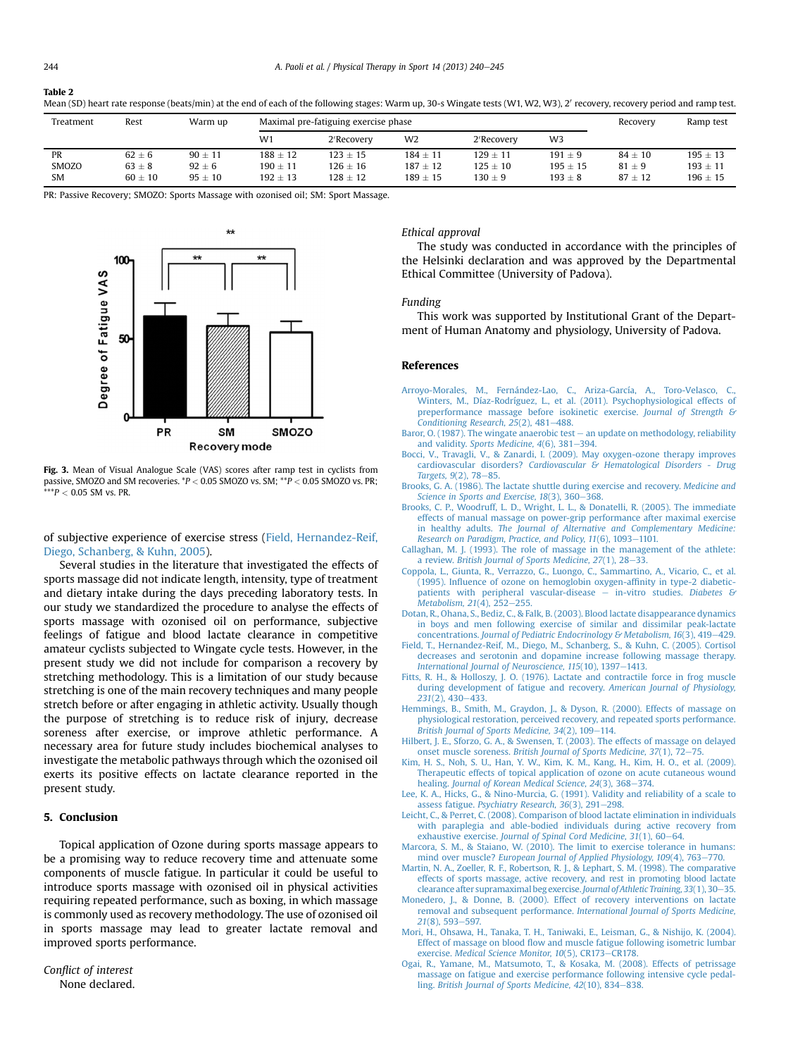<span id="page-4-0"></span>Table 2

Mean (SD) heart rate response (beats/min) at the end of each of the following stages: Warm up, 30-s Wingate tests (W1, W2, W3), 20 recovery, recovery period and ramp test.

| Treatment          | Rest                      | Warm up                   | Maximal pre-fatiguing exercise phase |                              |                              |                             |                             | Recovery                  | Ramp test                    |
|--------------------|---------------------------|---------------------------|--------------------------------------|------------------------------|------------------------------|-----------------------------|-----------------------------|---------------------------|------------------------------|
|                    |                           |                           | W1                                   | 2'Recovery                   | W <sub>2</sub>               | 2'Recovery                  | W <sub>3</sub>              |                           |                              |
| PR                 | $62 \pm 6$                | $90 \pm 11$               | $188 \pm 12$                         | $123 + 15$                   | $184 \pm 11$                 | $129 \pm 11$                | $191 + 9$                   | $84 \pm 10$               | $195 \pm 13$                 |
| SMOZO<br><b>SM</b> | $63 \pm 8$<br>$60 \pm 10$ | $92 \pm 6$<br>$95 \pm 10$ | $190\pm11$<br>$192 \pm 13$           | $126 \pm 16$<br>$128 \pm 12$ | $187 \pm 12$<br>$189 \pm 15$ | $125 \pm 10$<br>$130 \pm 9$ | $195 \pm 15$<br>$193 \pm 8$ | $81 \pm 9$<br>$87 \pm 12$ | $193 \pm 11$<br>$196 \pm 15$ |

PR: Passive Recovery; SMOZO: Sports Massage with ozonised oil; SM: Sport Massage.



Fig. 3. Mean of Visual Analogue Scale (VAS) scores after ramp test in cyclists from passive, SMOZO and SM recoveries.  $P < 0.05$  SMOZO vs. SM;  $*P < 0.05$  SMOZO vs. PR;  $***P < 0.05$  SM vs. PR.

# of subjective experience of exercise stress (Field, Hernandez-Reif, Diego, Schanberg, & Kuhn, 2005).

Several studies in the literature that investigated the effects of sports massage did not indicate length, intensity, type of treatment and dietary intake during the days preceding laboratory tests. In our study we standardized the procedure to analyse the effects of sports massage with ozonised oil on performance, subjective feelings of fatigue and blood lactate clearance in competitive amateur cyclists subjected to Wingate cycle tests. However, in the present study we did not include for comparison a recovery by stretching methodology. This is a limitation of our study because stretching is one of the main recovery techniques and many people stretch before or after engaging in athletic activity. Usually though the purpose of stretching is to reduce risk of injury, decrease soreness after exercise, or improve athletic performance. A necessary area for future study includes biochemical analyses to investigate the metabolic pathways through which the ozonised oil exerts its positive effects on lactate clearance reported in the present study.

# 5. Conclusion

Topical application of Ozone during sports massage appears to be a promising way to reduce recovery time and attenuate some components of muscle fatigue. In particular it could be useful to introduce sports massage with ozonised oil in physical activities requiring repeated performance, such as boxing, in which massage is commonly used as recovery methodology. The use of ozonised oil in sports massage may lead to greater lactate removal and improved sports performance.

Conflict of interest None declared.

## Ethical approval

The study was conducted in accordance with the principles of the Helsinki declaration and was approved by the Departmental Ethical Committee (University of Padova).

## Funding

This work was supported by Institutional Grant of the Department of Human Anatomy and physiology, University of Padova.

## References

- [Arroyo-Morales, M., Fernández-Lao, C., Ariza-García, A., Toro-Velasco, C.,](http://refhub.elsevier.com//bib1) [Winters, M., Díaz-Rodríguez, L., et al. \(2011\). Psychophysiological effects of](http://refhub.elsevier.com//bib1) [preperformance massage before isokinetic exercise.](http://refhub.elsevier.com//bib1) Journal of Strength & [Conditioning Research, 25](http://refhub.elsevier.com//bib1)(2), 481-[488.](http://refhub.elsevier.com//bib1)
- [Baror, O. \(1987\). The wingate anaerobic test](http://refhub.elsevier.com//bib2)  $-$  [an update on methodology, reliability](http://refhub.elsevier.com//bib2) and validity. Sports Medicine,  $4(6)$ , 381-[394.](http://refhub.elsevier.com//bib2)
- [Bocci, V., Travagli, V., & Zanardi, I. \(2009\). May oxygen-ozone therapy improves](http://refhub.elsevier.com//bib3) cardiovascular disorders? [Cardiovascular & Hematological Disorders - Drug](http://refhub.elsevier.com//bib3) Targets,  $9(2)$ , 78-[85.](http://refhub.elsevier.com//bib3)
- [Brooks, G. A. \(1986\). The lactate shuttle during exercise and recovery.](http://refhub.elsevier.com//bib4) Medicine and [Science in Sports and Exercise, 18](http://refhub.elsevier.com//bib4)(3), 360-[368.](http://refhub.elsevier.com//bib4)
- [Brooks, C. P., Woodruff, L. D., Wright, L. L., & Donatelli, R. \(2005\). The immediate](http://refhub.elsevier.com//bib5) [effects of manual massage on power-grip performance after maximal exercise](http://refhub.elsevier.com//bib5) in healthy adults. [The Journal of Alternative and Complementary Medicine:](http://refhub.elsevier.com//bib5) [Research on Paradigm, Practice, and Policy, 11](http://refhub.elsevier.com//bib5)(6), 1093-[1101.](http://refhub.elsevier.com//bib5)
- [Callaghan, M. J. \(1993\). The role of massage in the management of the athlete:](http://refhub.elsevier.com//bib6) a review. British Journal of Sports Medicine,  $27(1)$ ,  $28-33$ .
- [Coppola, L., Giunta, R., Verrazzo, G., Luongo, C., Sammartino, A., Vicario, C., et al.](http://refhub.elsevier.com//bib7) (1995). Infl[uence of ozone on hemoglobin oxygen-af](http://refhub.elsevier.com//bib7)finity in type-2 diabetic[patients with peripheral vascular-disease](http://refhub.elsevier.com//bib7)  $-$  [in-vitro studies.](http://refhub.elsevier.com//bib7) Diabetes &  $M$ etabolism, 21(4), 252–[255.](http://refhub.elsevier.com//bib7)
- [Dotan, R., Ohana, S., Bediz, C., & Falk, B. \(2003\). Blood lactate disappearance dynamics](http://refhub.elsevier.com//bib8) [in boys and men following exercise of similar and dissimilar peak-lactate](http://refhub.elsevier.com//bib8) concentrations. [Journal of Pediatric Endocrinology & Metabolism, 16](http://refhub.elsevier.com//bib8)(3), 419-[429.](http://refhub.elsevier.com//bib8)
- [Field, T., Hernandez-Reif, M., Diego, M., Schanberg, S., & Kuhn, C. \(2005\). Cortisol](http://refhub.elsevier.com//bib9) [decreases and serotonin and dopamine increase following massage therapy.](http://refhub.elsevier.com//bib9) [International Journal of Neuroscience, 115](http://refhub.elsevier.com//bib9)(10), 1397-[1413.](http://refhub.elsevier.com//bib9)
- [Fitts, R. H., & Holloszy, J. O. \(1976\). Lactate and contractile force in frog muscle](http://refhub.elsevier.com//bib10) [during development of fatigue and recovery.](http://refhub.elsevier.com//bib10) American Journal of Physiology,  $231(2)$ , 430-[433.](http://refhub.elsevier.com//bib10)
- [Hemmings, B., Smith, M., Graydon, J., & Dyson, R. \(2000\). Effects of massage on](http://refhub.elsevier.com//bib11) [physiological restoration, perceived recovery, and repeated sports performance.](http://refhub.elsevier.com//bib11) [British Journal of Sports Medicine, 34](http://refhub.elsevier.com//bib11)(2), 109-[114.](http://refhub.elsevier.com//bib11)
- [Hilbert, J. E., Sforzo, G. A., & Swensen, T. \(2003\). The effects of massage on delayed](http://refhub.elsevier.com//bib12) onset muscle soreness. [British Journal of Sports Medicine, 37](http://refhub.elsevier.com//bib12)(1), 72-[75.](http://refhub.elsevier.com//bib12)
- [Kim, H. S., Noh, S. U., Han, Y. W., Kim, K. M., Kang, H., Kim, H. O., et al. \(2009\).](http://refhub.elsevier.com//bib13) [Therapeutic effects of topical application of ozone on acute cutaneous wound](http://refhub.elsevier.com//bib13)
- healing. [Journal of Korean Medical Science, 24](http://refhub.elsevier.com//bib13)(3), 368–[374.](http://refhub.elsevier.com//bib13)<br>[Lee, K. A., Hicks, G., & Nino-Murcia, G. \(1991\). Validity and reliability of a scale to](http://refhub.elsevier.com//bib14) assess fatigue. [Psychiatry Research, 36](http://refhub.elsevier.com//bib14)(3), 291-[298.](http://refhub.elsevier.com//bib14)
- [Leicht, C., & Perret, C. \(2008\). Comparison of blood lactate elimination in individuals](http://refhub.elsevier.com//bib15) [with paraplegia and able-bodied individuals during active recovery from](http://refhub.elsevier.com//bib15) exhaustive exercise. [Journal of Spinal Cord Medicine, 31](http://refhub.elsevier.com//bib15)(1), 60–[64.](http://refhub.elsevier.com//bib15)
- [Marcora, S. M., & Staiano, W. \(2010\). The limit to exercise tolerance in humans:](http://refhub.elsevier.com//bib16) mind over muscle? [European Journal of Applied Physiology, 109](http://refhub.elsevier.com//bib16)(4), 763-[770.](http://refhub.elsevier.com//bib16)
- [Martin, N. A., Zoeller, R. F., Robertson, R. J., & Lephart, S. M. \(1998\). The comparative](http://refhub.elsevier.com//bib17) [effects of sports massage, active recovery, and rest in promoting blood lactate](http://refhub.elsevier.com//bib17) [clearance after supramaximal beg exercise.](http://refhub.elsevier.com//bib17) Journal of Athletic Training, 33(1), 30-[35.](http://refhub.elsevier.com//bib17)
- [Monedero, J., & Donne, B. \(2000\). Effect of recovery interventions on lactate](http://refhub.elsevier.com//bib18) removal and subsequent performance. [International Journal of Sports Medicine,](http://refhub.elsevier.com//bib18) 21[\(8\), 593](http://refhub.elsevier.com//bib18)-[597.](http://refhub.elsevier.com//bib18)
- [Mori, H., Ohsawa, H., Tanaka, T. H., Taniwaki, E., Leisman, G., & Nishijo, K. \(2004\).](http://refhub.elsevier.com//bib19) Effect of massage on blood fl[ow and muscle fatigue following isometric lumbar](http://refhub.elsevier.com//bib19) exercise. [Medical Science Monitor, 10](http://refhub.elsevier.com//bib19)(5), CR173-[CR178.](http://refhub.elsevier.com//bib19)
- [Ogai, R., Yamane, M., Matsumoto, T., & Kosaka, M. \(2008\). Effects of petrissage](http://refhub.elsevier.com//bib20) [massage on fatigue and exercise performance following intensive cycle pedal-](http://refhub.elsevier.com//bib20)ling. [British Journal of Sports Medicine, 42](http://refhub.elsevier.com//bib20)(10), 834-[838.](http://refhub.elsevier.com//bib20)